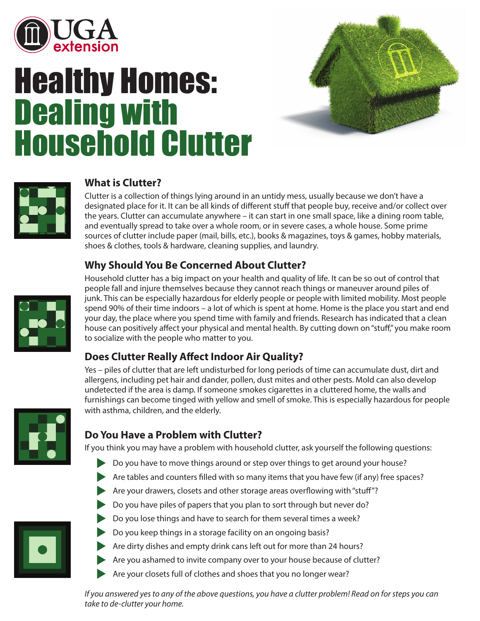

# Healthy Homes: Dealing with Household Clutter





#### **What is Clutter?**

Clutter is a collection of things lying around in an untidy mess, usually because we don't have a designated place for it. It can be all kinds of different stuff that people buy, receive and/or collect over the years. Clutter can accumulate anywhere – it can start in one small space, like a dining room table, and eventually spread to take over a whole room, or in severe cases, a whole house. Some prime sources of clutter include paper (mail, bills, etc.), books & magazines, toys & games, hobby materials, shoes & clothes, tools & hardware, cleaning supplies, and laundry.

## **Why Should You Be Concerned About Clutter?**



Household clutter has a big impact on your health and quality of life. It can be so out of control that people fall and injure themselves because they cannot reach things or maneuver around piles of junk. This can be especially hazardous for elderly people or people with limited mobility. Most people spend 90% of their time indoors – a lot of which is spent at home. Home is the place you start and end your day, the place where you spend time with family and friends. Research has indicated that a clean house can positively affect your physical and mental health. By cutting down on "stuff," you make room to socialize with the people who matter to you.

## **Does Clutter Really Affect Indoor Air Quality?**

Yes – piles of clutter that are left undisturbed for long periods of time can accumulate dust, dirt and allergens, including pet hair and dander, pollen, dust mites and other pests. Mold can also develop undetected if the area is damp. If someone smokes cigarettes in a cluttered home, the walls and furnishings can become tinged with yellow and smell of smoke. This is especially hazardous for people with asthma, children, and the elderly.



#### **Do You Have a Problem with Clutter?**

If you think you may have a problem with household clutter, ask yourself the following questions:

- $\triangleright$  Do you have to move things around or step over things to get around your house?
- $\blacktriangleright$  Are tables and counters filled with so many items that you have few (if any) free spaces?
- $\blacktriangleright$  Are your drawers, closets and other storage areas overflowing with "stuff"?
- $\triangleright$  Do you have piles of papers that you plan to sort through but never do?
- $\triangleright$  Do you lose things and have to search for them several times a week?
- $\triangleright$  Do you keep things in a storage facility on an ongoing basis?
- $\blacktriangleright$  Are dirty dishes and empty drink cans left out for more than 24 hours?
- $\blacktriangleright$  Are you ashamed to invite company over to your house because of clutter?
- $\blacktriangleright$  Are your closets full of clothes and shoes that you no longer wear?

*If you answered yes to any of the above questions, you have a clutter problem! Read on for steps you can take to de-clutter your home.*